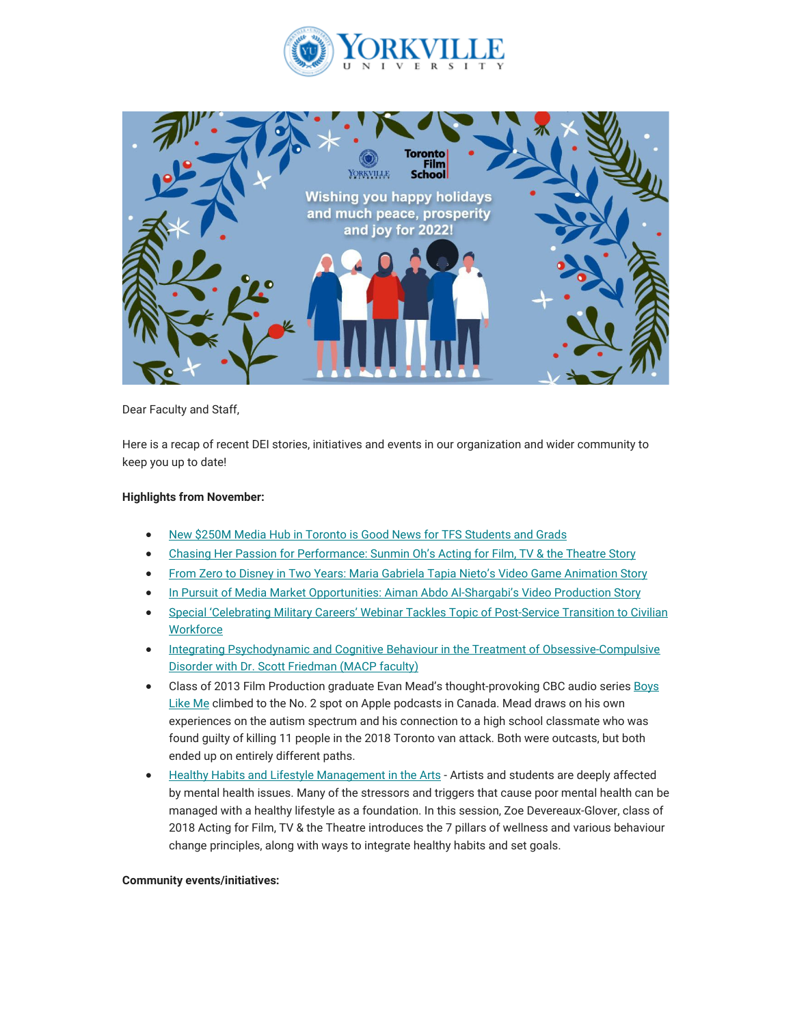



Dear Faculty and Staff,

Here is a recap of recent DEI stories, initiatives and events in our organization and wider community to keep you up to date!

## **Highlights from November:**

- [New \\$250M Media Hub in Toronto is Good News for TFS Students and Grads](https://can01.safelinks.protection.outlook.com/?url=https%3A%2F%2Fwww.torontofilmschool.ca%2Fblog%2Fnew-250-media-hub-in-torontos-port-lands-good-news-for-toronto-film-school-students-and-grads%2F&data=05%7C01%7Cmfraser%40yorkvilleu.ca%7C928e81f811b445749e2608da4d5fd71b%7C8e5c33be6efe45efb1956787de8fd649%7C0%7C0%7C637907371259204871%7CUnknown%7CTWFpbGZsb3d8eyJWIjoiMC4wLjAwMDAiLCJQIjoiV2luMzIiLCJBTiI6Ik1haWwiLCJXVCI6Mn0%3D%7C3000%7C%7C%7C&sdata=G3sZUh8pggSO%2BMTXSBy%2BR541G%2Bj12S8TZ2qgerU8MqQ%3D&reserved=0)
- [Chasing Her Passion for Performance: Sunmin Oh's Acting for Film, TV & the Theatre Story](https://can01.safelinks.protection.outlook.com/?url=https%3A%2F%2Fwww.torontofilmschool.ca%2Fblog%2Fchasing-her-passion-for-performance-sunmin-ohs-acting-for-film-tv-the-theatre-story%2F&data=05%7C01%7Cmfraser%40yorkvilleu.ca%7C928e81f811b445749e2608da4d5fd71b%7C8e5c33be6efe45efb1956787de8fd649%7C0%7C0%7C637907371259204871%7CUnknown%7CTWFpbGZsb3d8eyJWIjoiMC4wLjAwMDAiLCJQIjoiV2luMzIiLCJBTiI6Ik1haWwiLCJXVCI6Mn0%3D%7C3000%7C%7C%7C&sdata=%2FdsZGwaqFtrYJchROqTnqSnlrb4pvf%2F%2BTRxuhcMMB0s%3D&reserved=0)
- [From Zero to Disney in Two Years: Maria Gabriela Tapia Nieto's Video Game Animation Story](https://can01.safelinks.protection.outlook.com/?url=https%3A%2F%2Fwww.torontofilmschool.ca%2Fblog%2Ffrom-zero-to-disney-in-two-years-maria-gabriela-tapia-nietos-video-game-animation-story%2F&data=05%7C01%7Cmfraser%40yorkvilleu.ca%7C928e81f811b445749e2608da4d5fd71b%7C8e5c33be6efe45efb1956787de8fd649%7C0%7C0%7C637907371259204871%7CUnknown%7CTWFpbGZsb3d8eyJWIjoiMC4wLjAwMDAiLCJQIjoiV2luMzIiLCJBTiI6Ik1haWwiLCJXVCI6Mn0%3D%7C3000%7C%7C%7C&sdata=S9B30rR9GPm%2FRgoLvPmoUUmX4uNcwT9yhgSckn848Xw%3D&reserved=0)
- [In Pursuit of Media Market Opportunities: Aiman Abdo Al-Shargabi's Video Production Story](https://can01.safelinks.protection.outlook.com/?url=https%3A%2F%2Fwww.torontofilmschool.ca%2Fblog%2Fin-pursuit-of-media-market-opportunities-aiman-abdo-al-shargabis-video-production-story%2F&data=05%7C01%7Cmfraser%40yorkvilleu.ca%7C928e81f811b445749e2608da4d5fd71b%7C8e5c33be6efe45efb1956787de8fd649%7C0%7C0%7C637907371259204871%7CUnknown%7CTWFpbGZsb3d8eyJWIjoiMC4wLjAwMDAiLCJQIjoiV2luMzIiLCJBTiI6Ik1haWwiLCJXVCI6Mn0%3D%7C3000%7C%7C%7C&sdata=bFwBUvj51Eza2ayer1kDJp%2B33qnxaNWapGp4PZqB2R8%3D&reserved=0)
- [Special 'Celebrating Military Careers' Webinar Tackles Topic of Post-Service Transition to Civilian](https://can01.safelinks.protection.outlook.com/?url=https%3A%2F%2Fwww.yorkvilleu.ca%2Fspecial-celebrating-military-careers-webinar-tackles-topic-of-post-service-transition-to-civilian-workforce%2F&data=05%7C01%7Cmfraser%40yorkvilleu.ca%7C928e81f811b445749e2608da4d5fd71b%7C8e5c33be6efe45efb1956787de8fd649%7C0%7C0%7C637907371259204871%7CUnknown%7CTWFpbGZsb3d8eyJWIjoiMC4wLjAwMDAiLCJQIjoiV2luMzIiLCJBTiI6Ik1haWwiLCJXVCI6Mn0%3D%7C3000%7C%7C%7C&sdata=bVu9SdfuH7019pX3DCfruUopMtl7IIU2WVIUID2Vg0c%3D&reserved=0) **[Workforce](https://can01.safelinks.protection.outlook.com/?url=https%3A%2F%2Fwww.yorkvilleu.ca%2Fspecial-celebrating-military-careers-webinar-tackles-topic-of-post-service-transition-to-civilian-workforce%2F&data=05%7C01%7Cmfraser%40yorkvilleu.ca%7C928e81f811b445749e2608da4d5fd71b%7C8e5c33be6efe45efb1956787de8fd649%7C0%7C0%7C637907371259204871%7CUnknown%7CTWFpbGZsb3d8eyJWIjoiMC4wLjAwMDAiLCJQIjoiV2luMzIiLCJBTiI6Ik1haWwiLCJXVCI6Mn0%3D%7C3000%7C%7C%7C&sdata=bVu9SdfuH7019pX3DCfruUopMtl7IIU2WVIUID2Vg0c%3D&reserved=0)**
- [Integrating Psychodynamic and Cognitive Behaviour in the Treatment of Obsessive-Compulsive](https://can01.safelinks.protection.outlook.com/?url=https%3A%2F%2Fwww.youtube.com%2Fwatch%3Fv%3Dea-r3unyuqA&data=05%7C01%7Cmfraser%40yorkvilleu.ca%7C928e81f811b445749e2608da4d5fd71b%7C8e5c33be6efe45efb1956787de8fd649%7C0%7C0%7C637907371259204871%7CUnknown%7CTWFpbGZsb3d8eyJWIjoiMC4wLjAwMDAiLCJQIjoiV2luMzIiLCJBTiI6Ik1haWwiLCJXVCI6Mn0%3D%7C3000%7C%7C%7C&sdata=ndhv8cCChu1NF18ALfeUEucGBoh1iQjxq1PUTWnvNMw%3D&reserved=0) [Disorder with Dr. Scott Friedman \(MACP faculty\)](https://can01.safelinks.protection.outlook.com/?url=https%3A%2F%2Fwww.youtube.com%2Fwatch%3Fv%3Dea-r3unyuqA&data=05%7C01%7Cmfraser%40yorkvilleu.ca%7C928e81f811b445749e2608da4d5fd71b%7C8e5c33be6efe45efb1956787de8fd649%7C0%7C0%7C637907371259204871%7CUnknown%7CTWFpbGZsb3d8eyJWIjoiMC4wLjAwMDAiLCJQIjoiV2luMzIiLCJBTiI6Ik1haWwiLCJXVCI6Mn0%3D%7C3000%7C%7C%7C&sdata=ndhv8cCChu1NF18ALfeUEucGBoh1iQjxq1PUTWnvNMw%3D&reserved=0)
- Class of 2013 Film Production graduate Evan Mead's thought-provoking CBC audio serie[s Boys](https://can01.safelinks.protection.outlook.com/?url=https%3A%2F%2Fwww.cbc.ca%2Flisten%2Fcbc-podcasts%2F1035-boys-like-me&data=05%7C01%7Cmfraser%40yorkvilleu.ca%7C928e81f811b445749e2608da4d5fd71b%7C8e5c33be6efe45efb1956787de8fd649%7C0%7C0%7C637907371259204871%7CUnknown%7CTWFpbGZsb3d8eyJWIjoiMC4wLjAwMDAiLCJQIjoiV2luMzIiLCJBTiI6Ik1haWwiLCJXVCI6Mn0%3D%7C3000%7C%7C%7C&sdata=qLet5KkHVzut1NnIyR1IoSWp5cZr3uYSmyzYfO7qWmU%3D&reserved=0) [Like Me](https://can01.safelinks.protection.outlook.com/?url=https%3A%2F%2Fwww.cbc.ca%2Flisten%2Fcbc-podcasts%2F1035-boys-like-me&data=05%7C01%7Cmfraser%40yorkvilleu.ca%7C928e81f811b445749e2608da4d5fd71b%7C8e5c33be6efe45efb1956787de8fd649%7C0%7C0%7C637907371259204871%7CUnknown%7CTWFpbGZsb3d8eyJWIjoiMC4wLjAwMDAiLCJQIjoiV2luMzIiLCJBTiI6Ik1haWwiLCJXVCI6Mn0%3D%7C3000%7C%7C%7C&sdata=qLet5KkHVzut1NnIyR1IoSWp5cZr3uYSmyzYfO7qWmU%3D&reserved=0) climbed to the No. 2 spot on Apple podcasts in Canada. Mead draws on his own experiences on the autism spectrum and his connection to a high school classmate who was found guilty of killing 11 people in the 2018 Toronto van attack. Both were outcasts, but both ended up on entirely different paths.
- [Healthy Habits and Lifestyle Management in the Arts -](https://can01.safelinks.protection.outlook.com/?url=https%3A%2F%2Fyoutu.be%2FpHrT-7csSVQ%3Ft%3D113&data=05%7C01%7Cmfraser%40yorkvilleu.ca%7C928e81f811b445749e2608da4d5fd71b%7C8e5c33be6efe45efb1956787de8fd649%7C0%7C0%7C637907371259204871%7CUnknown%7CTWFpbGZsb3d8eyJWIjoiMC4wLjAwMDAiLCJQIjoiV2luMzIiLCJBTiI6Ik1haWwiLCJXVCI6Mn0%3D%7C3000%7C%7C%7C&sdata=dHdL%2BBXVVwWEUbLXatAI08R6RqwLumSTICG3UT%2B71u0%3D&reserved=0) Artists and students are deeply affected by mental health issues. Many of the stressors and triggers that cause poor mental health can be managed with a healthy lifestyle as a foundation. In this session, Zoe Devereaux-Glover, class of 2018 Acting for Film, TV & the Theatre introduces the 7 pillars of wellness and various behaviour change principles, along with ways to integrate healthy habits and set goals.

## **Community events/initiatives:**